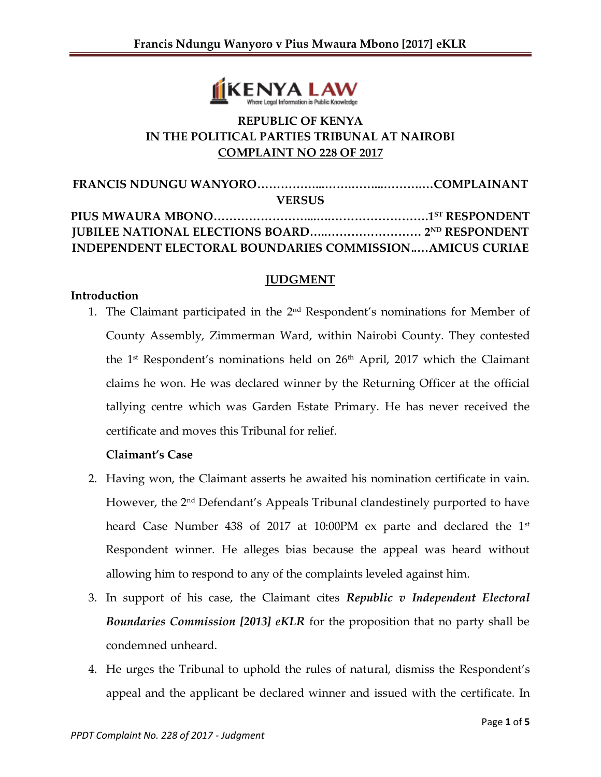

# **REPUBLIC OF KENYA IN THE POLITICAL PARTIES TRIBUNAL AT NAIROBI COMPLAINT NO 228 OF 2017**

| <b>VERSUS</b>                                                   |  |
|-----------------------------------------------------------------|--|
|                                                                 |  |
|                                                                 |  |
| <b>INDEPENDENT ELECTORAL BOUNDARIES COMMISSIONAMICUS CURIAE</b> |  |

### **JUDGMENT**

#### **Introduction**

1. The Claimant participated in the 2<sup>nd</sup> Respondent's nominations for Member of County Assembly, Zimmerman Ward, within Nairobi County. They contested the 1<sup>st</sup> Respondent's nominations held on 26<sup>th</sup> April, 2017 which the Claimant claims he won. He was declared winner by the Returning Officer at the official tallying centre which was Garden Estate Primary. He has never received the certificate and moves this Tribunal for relief.

### **Claimant's Case**

- 2. Having won, the Claimant asserts he awaited his nomination certificate in vain. However, the 2nd Defendant's Appeals Tribunal clandestinely purported to have heard Case Number 438 of 2017 at 10:00PM ex parte and declared the 1<sup>st</sup> Respondent winner. He alleges bias because the appeal was heard without allowing him to respond to any of the complaints leveled against him.
- 3. In support of his case, the Claimant cites *Republic v Independent Electoral Boundaries Commission [2013] eKLR* for the proposition that no party shall be condemned unheard.
- 4. He urges the Tribunal to uphold the rules of natural, dismiss the Respondent's appeal and the applicant be declared winner and issued with the certificate. In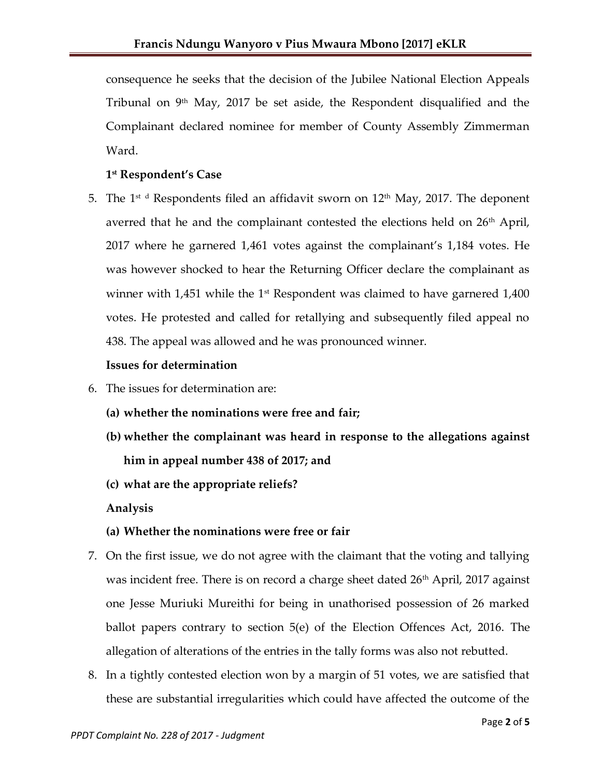consequence he seeks that the decision of the Jubilee National Election Appeals Tribunal on  $9<sup>th</sup>$  May, 2017 be set aside, the Respondent disqualified and the Complainant declared nominee for member of County Assembly Zimmerman Ward.

## **1 st Respondent's Case**

5. The 1st d Respondents filed an affidavit sworn on  $12^{\text{th}}$  May, 2017. The deponent averred that he and the complainant contested the elections held on  $26<sup>th</sup>$  April, 2017 where he garnered 1,461 votes against the complainant's 1,184 votes. He was however shocked to hear the Returning Officer declare the complainant as winner with  $1,451$  while the 1<sup>st</sup> Respondent was claimed to have garnered  $1,400$ votes. He protested and called for retallying and subsequently filed appeal no 438. The appeal was allowed and he was pronounced winner.

### **Issues for determination**

- 6. The issues for determination are:
	- **(a) whether the nominations were free and fair;**
	- **(b) whether the complainant was heard in response to the allegations against him in appeal number 438 of 2017; and**
	- **(c) what are the appropriate reliefs?**

**Analysis**

## **(a) Whether the nominations were free or fair**

- 7. On the first issue, we do not agree with the claimant that the voting and tallying was incident free. There is on record a charge sheet dated 26<sup>th</sup> April, 2017 against one Jesse Muriuki Mureithi for being in unathorised possession of 26 marked ballot papers contrary to section 5(e) of the Election Offences Act, 2016. The allegation of alterations of the entries in the tally forms was also not rebutted.
- 8. In a tightly contested election won by a margin of 51 votes, we are satisfied that these are substantial irregularities which could have affected the outcome of the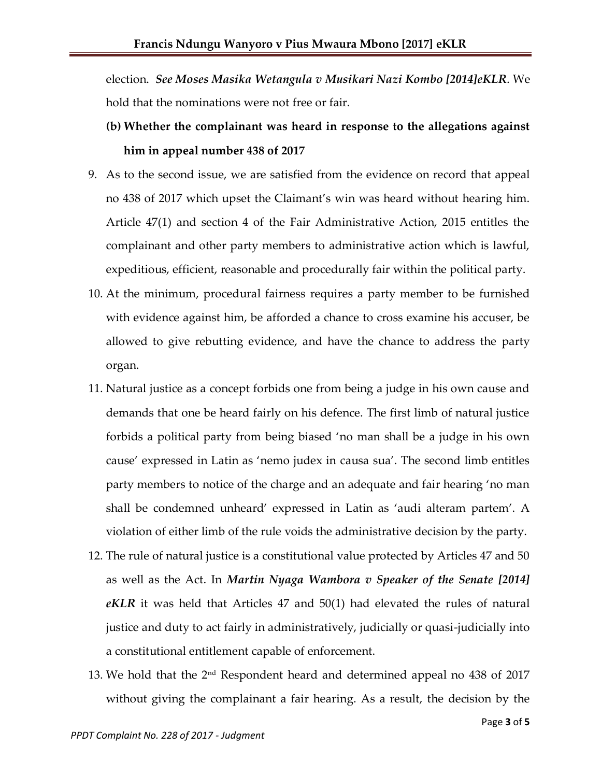election. *See Moses Masika Wetangula v Musikari Nazi Kombo [2014]eKLR*. We hold that the nominations were not free or fair.

- **(b) Whether the complainant was heard in response to the allegations against him in appeal number 438 of 2017**
- 9. As to the second issue, we are satisfied from the evidence on record that appeal no 438 of 2017 which upset the Claimant's win was heard without hearing him. Article 47(1) and section 4 of the Fair Administrative Action, 2015 entitles the complainant and other party members to administrative action which is lawful, expeditious, efficient, reasonable and procedurally fair within the political party.
- 10. At the minimum, procedural fairness requires a party member to be furnished with evidence against him, be afforded a chance to cross examine his accuser, be allowed to give rebutting evidence, and have the chance to address the party organ.
- 11. Natural justice as a concept forbids one from being a judge in his own cause and demands that one be heard fairly on his defence. The first limb of natural justice forbids a political party from being biased 'no man shall be a judge in his own cause' expressed in Latin as 'nemo judex in causa sua'. The second limb entitles party members to notice of the charge and an adequate and fair hearing 'no man shall be condemned unheard' expressed in Latin as 'audi alteram partem'. A violation of either limb of the rule voids the administrative decision by the party.
- 12. The rule of natural justice is a constitutional value protected by Articles 47 and 50 as well as the Act. In *Martin Nyaga Wambora v Speaker of the Senate [2014] eKLR* it was held that Articles 47 and 50(1) had elevated the rules of natural justice and duty to act fairly in administratively, judicially or quasi-judicially into a constitutional entitlement capable of enforcement.
- 13. We hold that the 2nd Respondent heard and determined appeal no 438 of 2017 without giving the complainant a fair hearing. As a result, the decision by the